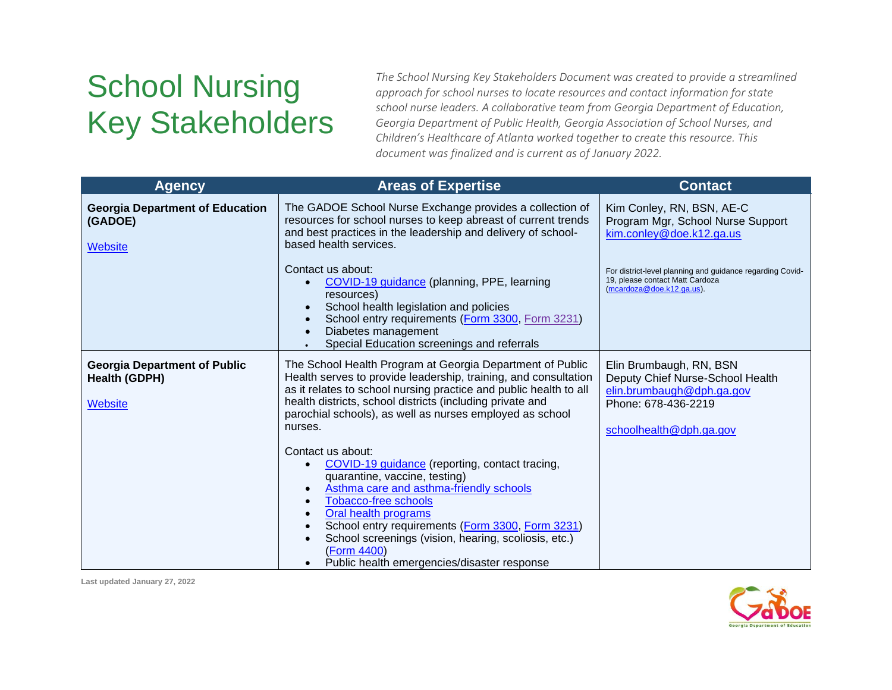## School Nursing Key Stakeholders

*The School Nursing Key Stakeholders Document was created to provide a streamlined approach for school nurses to locate resources and contact information for state school nurse leaders. A collaborative team from Georgia Department of Education, Georgia Department of Public Health, Georgia Association of School Nurses, and Children's Healthcare of Atlanta worked together to create this resource. This document was finalized and is current as of January 2022.*

| <b>Agency</b>                                                                 | <b>Areas of Expertise</b>                                                                                                                                                                                                                                                                                                                                                                                               | <b>Contact</b>                                                                                                                             |
|-------------------------------------------------------------------------------|-------------------------------------------------------------------------------------------------------------------------------------------------------------------------------------------------------------------------------------------------------------------------------------------------------------------------------------------------------------------------------------------------------------------------|--------------------------------------------------------------------------------------------------------------------------------------------|
| <b>Georgia Department of Education</b><br>(GADOE)<br><b>Website</b>           | The GADOE School Nurse Exchange provides a collection of<br>resources for school nurses to keep abreast of current trends<br>and best practices in the leadership and delivery of school-<br>based health services.                                                                                                                                                                                                     | Kim Conley, RN, BSN, AE-C<br>Program Mgr, School Nurse Support<br>kim.conley@doe.k12.ga.us                                                 |
|                                                                               | Contact us about:<br>COVID-19 guidance (planning, PPE, learning<br>resources)<br>School health legislation and policies<br>School entry requirements (Form 3300, Form 3231)<br>Diabetes management<br>Special Education screenings and referrals                                                                                                                                                                        | For district-level planning and quidance regarding Covid-<br>19, please contact Matt Cardoza<br>(mcardoza@doe.k12.ga.us).                  |
| <b>Georgia Department of Public</b><br><b>Health (GDPH)</b><br><b>Website</b> | The School Health Program at Georgia Department of Public<br>Health serves to provide leadership, training, and consultation<br>as it relates to school nursing practice and public health to all<br>health districts, school districts (including private and<br>parochial schools), as well as nurses employed as school<br>nurses.                                                                                   | Elin Brumbaugh, RN, BSN<br>Deputy Chief Nurse-School Health<br>elin.brumbaugh@dph.ga.gov<br>Phone: 678-436-2219<br>schoolhealth@dph.ga.gov |
|                                                                               | Contact us about:<br>COVID-19 guidance (reporting, contact tracing,<br>$\bullet$<br>quarantine, vaccine, testing)<br>Asthma care and asthma-friendly schools<br><b>Tobacco-free schools</b><br>$\bullet$<br>Oral health programs<br>$\bullet$<br>School entry requirements (Form 3300, Form 3231)<br>School screenings (vision, hearing, scoliosis, etc.)<br>(Form 4400)<br>Public health emergencies/disaster response |                                                                                                                                            |

**Last updated January 27, 2022**